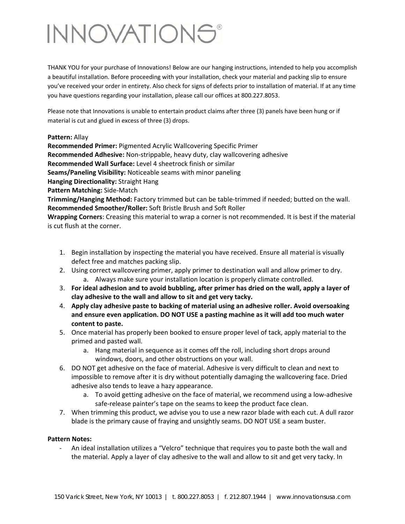# INNOVATIONS®

THANK YOU for your purchase of Innovations! Below are our hanging instructions, intended to help you accomplish a beautiful installation. Before proceeding with your installation, check your material and packing slip to ensure you've received your order in entirety. Also check for signs of defects prior to installation of material. If at any time you have questions regarding your installation, please call our offices at 800.227.8053.

Please note that Innovations is unable to entertain product claims after three (3) panels have been hung or if material is cut and glued in excess of three (3) drops.

#### **Pattern:** Allay

**Recommended Primer:** Pigmented Acrylic Wallcovering Specific Primer **Recommended Adhesive:** Non‐strippable, heavy duty, clay wallcovering adhesive **Recommended Wall Surface:** Level 4 sheetrock finish or similar **Seams/Paneling Visibility:** Noticeable seams with minor paneling **Hanging Directionality:** Straight Hang **Pattern Matching:** Side‐Match

**Trimming/Hanging Method:** Factory trimmed but can be table‐trimmed if needed; butted on the wall. **Recommended Smoother/Roller:** Soft Bristle Brush and Soft Roller

**Wrapping Corners**: Creasing this material to wrap a corner is not recommended. It is best if the material is cut flush at the corner.

- 1. Begin installation by inspecting the material you have received. Ensure all material is visually defect free and matches packing slip.
- 2. Using correct wallcovering primer, apply primer to destination wall and allow primer to dry. a. Always make sure your installation location is properly climate controlled.
- 3. **For ideal adhesion and to avoid bubbling, after primer has dried on the wall, apply a layer of clay adhesive to the wall and allow to sit and get very tacky.**
- 4. **Apply clay adhesive paste to backing of material using an adhesive roller. Avoid oversoaking and ensure even application. DO NOT USE a pasting machine as it will add too much water content to paste.**
- 5. Once material has properly been booked to ensure proper level of tack, apply material to the primed and pasted wall.
	- a. Hang material in sequence as it comes off the roll, including short drops around windows, doors, and other obstructions on your wall.
- 6. DO NOT get adhesive on the face of material. Adhesive is very difficult to clean and next to impossible to remove after it is dry without potentially damaging the wallcovering face. Dried adhesive also tends to leave a hazy appearance.
	- a. To avoid getting adhesive on the face of material, we recommend using a low‐adhesive safe-release painter's tape on the seams to keep the product face clean.
- 7. When trimming this product, we advise you to use a new razor blade with each cut. A dull razor blade is the primary cause of fraying and unsightly seams. DO NOT USE a seam buster.

### **Pattern Notes:**

‐ An ideal installation utilizes a "Velcro" technique that requires you to paste both the wall and the material. Apply a layer of clay adhesive to the wall and allow to sit and get very tacky. In